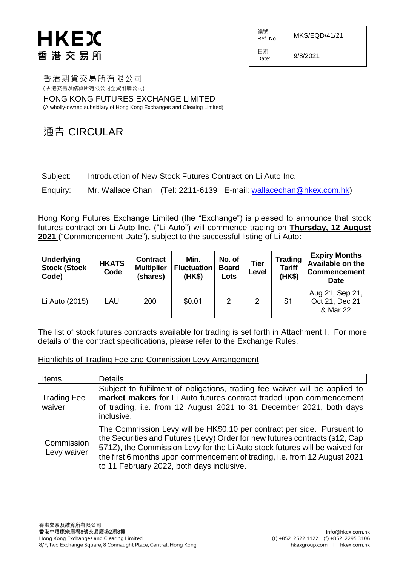| 編號<br>Ref. No.: | MKS/EQD/41/21 |
|-----------------|---------------|
| 日期<br>Date:     | 9/8/2021      |

香港期貨交易所有限公司 ( 香港交易及結算所有限公司全資附屬公司)

HONG KONG FUTURES EXCHANGE LIMITED

(A wholly-owned subsidiary of Hong Kong Exchanges and Clearing Limited)

### 通告 CIRCULAR

Subject: Introduction of New Stock Futures Contract on Li Auto Inc.

Enquiry: Mr. Wallace Chan (Tel: 2211-6139 E-mail: [wallacechan@hkex.com.hk\)](mailto:wallacechan@hkex.com.hk)

Hong Kong Futures Exchange Limited (the "Exchange") is pleased to announce that stock futures contract on Li Auto Inc. ("Li Auto") will commence trading on **Thursday, 12 August 2021** ("Commencement Date"), subject to the successful listing of Li Auto:

| <b>Underlying</b><br><b>Stock (Stock)</b><br>Code) | <b>HKATS</b><br>Code | <b>Contract</b><br><b>Multiplier</b><br>(shares) | Min.<br><b>Fluctuation</b><br>(HK\$) | No. of<br><b>Board</b><br>Lots | Tier<br>Level  | <b>Trading</b><br><b>Tariff</b><br>(HK\$) | <b>Expiry Months</b><br>Available on the<br><b>Commencement</b><br><b>Date</b> |
|----------------------------------------------------|----------------------|--------------------------------------------------|--------------------------------------|--------------------------------|----------------|-------------------------------------------|--------------------------------------------------------------------------------|
| Li Auto (2015)                                     | LAU                  | 200                                              | \$0.01                               | 2                              | $\overline{2}$ | \$1                                       | Aug 21, Sep 21,<br>Oct 21, Dec 21<br>& Mar 22                                  |

The list of stock futures contracts available for trading is set forth in Attachment I. For more details of the contract specifications, please refer to the Exchange Rules.

### Highlights of Trading Fee and Commission Levy Arrangement

| Items                        | <b>Details</b>                                                                                                                                                                                                                                                                                                                                                  |
|------------------------------|-----------------------------------------------------------------------------------------------------------------------------------------------------------------------------------------------------------------------------------------------------------------------------------------------------------------------------------------------------------------|
| <b>Trading Fee</b><br>waiver | Subject to fulfilment of obligations, trading fee waiver will be applied to<br>market makers for Li Auto futures contract traded upon commencement<br>of trading, i.e. from 12 August 2021 to 31 December 2021, both days<br>inclusive.                                                                                                                         |
| Commission<br>Levy waiver    | The Commission Levy will be HK\$0.10 per contract per side. Pursuant to<br>the Securities and Futures (Levy) Order for new futures contracts (s12, Cap<br>571Z), the Commission Levy for the Li Auto stock futures will be waived for<br>the first 6 months upon commencement of trading, i.e. from 12 August 2021<br>to 11 February 2022, both days inclusive. |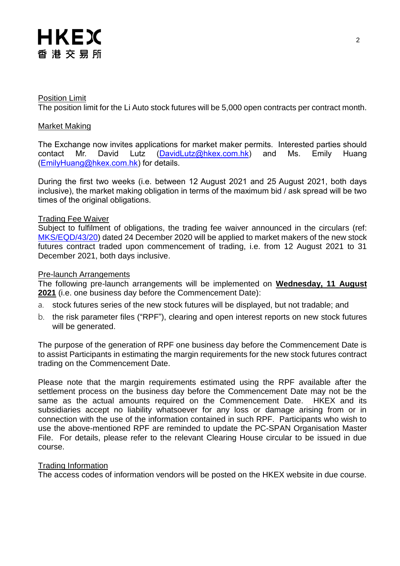

#### Position Limit

The position limit for the Li Auto stock futures will be 5,000 open contracts per contract month.

#### Market Making

The Exchange now invites applications for market maker permits. Interested parties should contact Mr. David Lutz [\(DavidLutz@hkex.com.hk\)](mailto:DavidLutz@hkex.com.hk) and Ms. Emily Huang [\(EmilyHuang@hkex.com.hk\)](mailto:EmilyHuang@HKEX.COM.HK) for details.

During the first two weeks (i.e. between 12 August 2021 and 25 August 2021, both days inclusive), the market making obligation in terms of the maximum bid / ask spread will be two times of the original obligations.

#### Trading Fee Waiver

Subject to fulfilment of obligations, the trading fee waiver announced in the circulars (ref: [MKS/EQD/43/20\)](https://www.hkex.com.hk/-/media/HKEX-Market/Services/Circulars-and-Notices/Participant-and-Members-Circulars/HKFE/2020/MKS_EQD_43_20_e.pdf) dated 24 December 2020 will be applied to market makers of the new stock futures contract traded upon commencement of trading, i.e. from 12 August 2021 to 31 December 2021, both days inclusive.

#### Pre-launch Arrangements

The following pre-launch arrangements will be implemented on **Wednesday, 11 August 2021** (i.e. one business day before the Commencement Date):

- a. stock futures series of the new stock futures will be displayed, but not tradable; and
- b. the risk parameter files ("RPF"), clearing and open interest reports on new stock futures will be generated.

The purpose of the generation of RPF one business day before the Commencement Date is to assist Participants in estimating the margin requirements for the new stock futures contract trading on the Commencement Date.

Please note that the margin requirements estimated using the RPF available after the settlement process on the business day before the Commencement Date may not be the same as the actual amounts required on the Commencement Date. HKEX and its subsidiaries accept no liability whatsoever for any loss or damage arising from or in connection with the use of the information contained in such RPF. Participants who wish to use the above-mentioned RPF are reminded to update the PC-SPAN Organisation Master File. For details, please refer to the relevant Clearing House circular to be issued in due course.

#### Trading Information

The access codes of information vendors will be posted on the HKEX website in due course.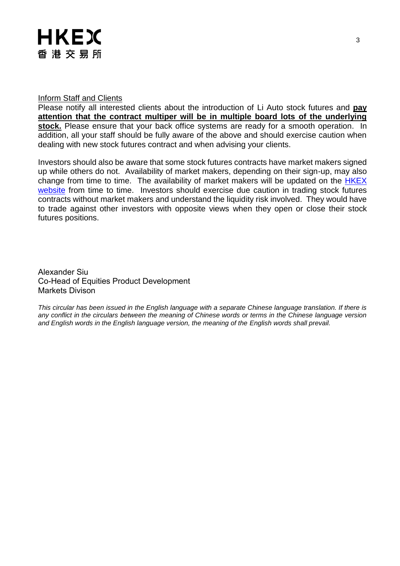#### Inform Staff and Clients

Please notify all interested clients about the introduction of Li Auto stock futures and **pay attention that the contract multiper will be in multiple board lots of the underlying stock.** Please ensure that your back office systems are ready for a smooth operation. In addition, all your staff should be fully aware of the above and should exercise caution when dealing with new stock futures contract and when advising your clients.

Investors should also be aware that some stock futures contracts have market makers signed up while others do not. Availability of market makers, depending on their sign-up, may also change from time to time. The availability of market makers will be updated on the [HKEX](http://www.hkex.com.hk/Products/Listed-Derivatives/Single-Stock/Stock-Futures?sc_lang=en)  [website](http://www.hkex.com.hk/Products/Listed-Derivatives/Single-Stock/Stock-Futures?sc_lang=en) from time to time. Investors should exercise due caution in trading stock futures contracts without market makers and understand the liquidity risk involved. They would have to trade against other investors with opposite views when they open or close their stock futures positions.

Alexander Siu Co-Head of Equities Product Development Markets Divison

*This circular has been issued in the English language with a separate Chinese language translation. If there is any conflict in the circulars between the meaning of Chinese words or terms in the Chinese language version and English words in the English language version, the meaning of the English words shall prevail.*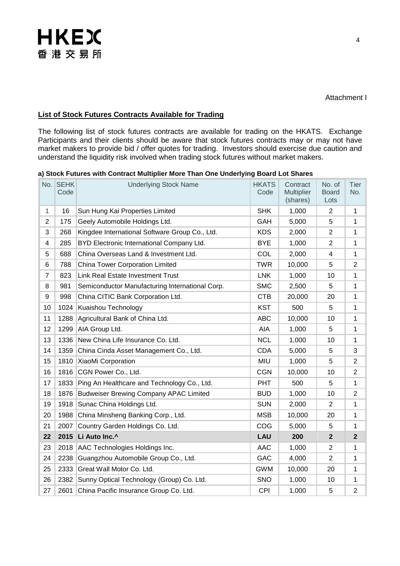### **List of Stock Futures Contracts Available for Trading**

The following list of stock futures contracts are available for trading on the HKATS. Exchange Participants and their clients should be aware that stock futures contracts may or may not have market makers to provide bid / offer quotes for trading. Investors should exercise due caution and understand the liquidity risk involved when trading stock futures without market makers.

| a) Stock Futures with Contract Multiplier More Than One Underlying Board Lot Shares |  |  |  |  |  |  |  |
|-------------------------------------------------------------------------------------|--|--|--|--|--|--|--|
|-------------------------------------------------------------------------------------|--|--|--|--|--|--|--|

|                | No. SEHK<br>Code | <b>Underlying Stock Name</b>                    | <b>HKATS</b><br>Code | Contract<br><b>Multiplier</b><br>(shares) | No. of<br><b>Board</b><br>Lots | <b>Tier</b><br>No. |
|----------------|------------------|-------------------------------------------------|----------------------|-------------------------------------------|--------------------------------|--------------------|
| $\mathbf{1}$   | 16               | Sun Hung Kai Properties Limited                 | <b>SHK</b>           | 1,000                                     | $\overline{2}$                 | 1                  |
| $\overline{2}$ | 175              | Geely Automobile Holdings Ltd.                  | GAH                  | 5,000                                     | 5                              | 1                  |
| 3              | 268              | Kingdee International Software Group Co., Ltd.  | <b>KDS</b>           | 2,000                                     | $\overline{2}$                 | 1                  |
| 4              | 285              | BYD Electronic International Company Ltd.       | <b>BYE</b>           | 1,000                                     | 2                              | 1                  |
| 5              | 688              | China Overseas Land & Investment Ltd.           | COL                  | 2,000                                     | 4                              | 1                  |
| 6              | 788              | China Tower Corporation Limited                 | <b>TWR</b>           | 10,000                                    | 5                              | $\overline{2}$     |
| $\overline{7}$ | 823              | <b>Link Real Estate Investment Trust</b>        | <b>LNK</b>           | 1,000                                     | 10                             | 1                  |
| 8              | 981              | Semiconductor Manufacturing International Corp. | <b>SMC</b>           | 2,500                                     | 5                              | 1                  |
| 9              | 998              | China CITIC Bank Corporation Ltd.               | <b>CTB</b>           | 20,000                                    | 20                             | 1                  |
| 10             | 1024             | Kuaishou Technology                             | <b>KST</b>           | 500                                       | 5                              | 1                  |
| 11             |                  | 1288 Agricultural Bank of China Ltd.            | <b>ABC</b>           | 10,000                                    | 10                             | 1                  |
| 12             | 1299             | AIA Group Ltd.                                  | AIA                  | 1,000                                     | 5                              | 1                  |
| 13             | 1336             | New China Life Insurance Co. Ltd.               | <b>NCL</b>           | 1,000                                     | 10                             | 1                  |
| 14             | 1359             | China Cinda Asset Management Co., Ltd.          | <b>CDA</b>           | 5,000                                     | 5                              | 3                  |
| 15             |                  | 1810 XiaoMi Corporation                         | <b>MIU</b>           | 1,000                                     | 5                              | $\overline{2}$     |
| 16             |                  | 1816 CGN Power Co., Ltd.                        | <b>CGN</b>           | 10,000                                    | 10                             | $\overline{2}$     |
| 17             | 1833             | Ping An Healthcare and Technology Co., Ltd.     | <b>PHT</b>           | 500                                       | 5                              | 1                  |
| 18             |                  | 1876 Budweiser Brewing Company APAC Limited     | <b>BUD</b>           | 1,000                                     | 10                             | $\overline{2}$     |
| 19             | 1918             | Sunac China Holdings Ltd.                       | <b>SUN</b>           | 2,000                                     | $\overline{2}$                 | 1                  |
| 20             |                  | 1988 China Minsheng Banking Corp., Ltd.         | <b>MSB</b>           | 10,000                                    | 20                             | 1                  |
| 21             | 2007             | Country Garden Holdings Co. Ltd.                | COG                  | 5,000                                     | 5                              | 1                  |
| 22             |                  | 2015 Li Auto Inc.^                              | LAU                  | 200                                       | $\overline{2}$                 | $\mathbf{2}$       |
| 23             |                  | 2018 AAC Technologies Holdings Inc.             | <b>AAC</b>           | 1,000                                     | $\overline{2}$                 | 1                  |
| 24             | 2238             | Guangzhou Automobile Group Co., Ltd.            | <b>GAC</b>           | 4,000                                     | $\overline{2}$                 | 1                  |
| 25             | 2333             | Great Wall Motor Co. Ltd.                       | <b>GWM</b>           | 10,000                                    | 20                             | 1                  |
| 26             | 2382             | Sunny Optical Technology (Group) Co. Ltd.       | <b>SNO</b>           | 1,000                                     | 10                             | 1                  |
| 27             | 2601             | China Pacific Insurance Group Co. Ltd.          | <b>CPI</b>           | 1,000                                     | 5                              | $\overline{2}$     |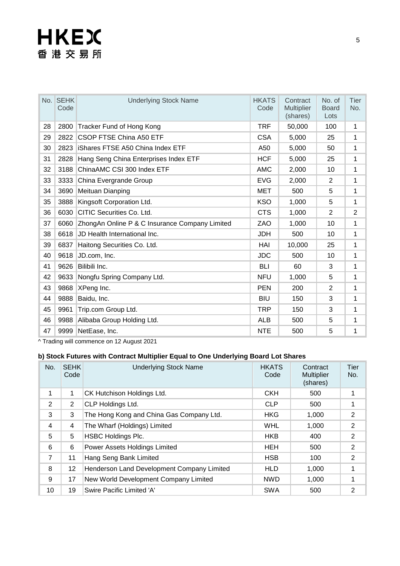|    | No. SEHK<br>Code | <b>Underlying Stock Name</b>                   | <b>HKATS</b><br>Code | Contract<br>Multiplier<br>(shares) | No. of<br><b>Board</b><br>Lots | Tier<br>No.    |
|----|------------------|------------------------------------------------|----------------------|------------------------------------|--------------------------------|----------------|
| 28 | 2800             | Tracker Fund of Hong Kong                      | <b>TRF</b>           | 50,000                             | 100                            | 1              |
| 29 | 2822             | <b>CSOP FTSE China A50 ETF</b>                 | <b>CSA</b>           | 5,000                              | 25                             | 1              |
| 30 | 2823             | <b>iShares FTSE A50 China Index ETF</b>        | A50                  | 5,000                              | 50                             | 1              |
| 31 | 2828             | Hang Seng China Enterprises Index ETF          | <b>HCF</b>           | 5,000                              | 25                             | 1              |
| 32 | 3188             | ChinaAMC CSI 300 Index ETF                     | <b>AMC</b>           | 2,000                              | 10                             | 1              |
| 33 | 3333             | China Evergrande Group                         | <b>EVG</b>           | 2,000                              | 2                              | 1              |
| 34 | 3690             | Meituan Dianping                               | <b>MET</b>           | 500                                | 5                              | 1              |
| 35 | 3888             | Kingsoft Corporation Ltd.                      | <b>KSO</b>           | 1,000                              | 5                              | 1              |
| 36 | 6030             | CITIC Securities Co. Ltd.                      | <b>CTS</b>           | 1,000                              | $\overline{2}$                 | $\overline{2}$ |
| 37 | 6060             | ZhongAn Online P & C Insurance Company Limited | ZAO                  | 1,000                              | 10                             | $\mathbf{1}$   |
| 38 | 6618             | JD Health International Inc.                   | JDH                  | 500                                | 10                             | 1              |
| 39 | 6837             | Haitong Securities Co. Ltd.                    | HAI                  | 10,000                             | 25                             | 1              |
| 40 | 9618             | JD.com, Inc.                                   | <b>JDC</b>           | 500                                | 10                             | $\mathbf{1}$   |
| 41 | 9626             | Bilibili Inc.                                  | <b>BLI</b>           | 60                                 | 3                              | 1              |
| 42 | 9633             | Nongfu Spring Company Ltd.                     | <b>NFU</b>           | 1,000                              | 5                              | 1              |
| 43 | 9868             | XPeng Inc.                                     | <b>PEN</b>           | 200                                | 2                              | 1              |
| 44 | 9888             | Baidu, Inc.                                    | <b>BIU</b>           | 150                                | 3                              | 1              |
| 45 | 9961             | Trip.com Group Ltd.                            | TRP                  | 150                                | 3                              | 1              |
| 46 | 9988             | Alibaba Group Holding Ltd.                     | <b>ALB</b>           | 500                                | 5                              | 1              |
| 47 | 9999             | NetEase, Inc.                                  | <b>NTE</b>           | 500                                | 5                              | 1              |

^ Trading will commence on 12 August 2021

#### **b) Stock Futures with Contract Multiplier Equal to One Underlying Board Lot Shares**

| No.            | <b>SEHK</b><br>Code | <b>Underlying Stock Name</b>               | <b>HKATS</b><br>Code | Contract<br><b>Multiplier</b><br>(shares) | Tier<br>No.    |
|----------------|---------------------|--------------------------------------------|----------------------|-------------------------------------------|----------------|
| $\mathbf{1}$   | 1                   | CK Hutchison Holdings Ltd.                 | <b>CKH</b>           | 500                                       |                |
| 2              | 2                   | CLP Holdings Ltd.                          | <b>CLP</b>           | 500                                       |                |
| 3              | 3                   | The Hong Kong and China Gas Company Ltd.   | <b>HKG</b>           | 1,000                                     | 2              |
| 4              | 4                   | The Wharf (Holdings) Limited               | <b>WHL</b>           | 1,000                                     | $\overline{2}$ |
| 5              | 5                   | <b>HSBC Holdings Plc.</b>                  | <b>HKB</b>           | 400                                       | 2              |
| 6              | 6                   | Power Assets Holdings Limited              | <b>HEH</b>           | 500                                       | 2              |
| $\overline{7}$ | 11                  | Hang Seng Bank Limited                     | <b>HSB</b>           | 100                                       | 2              |
| 8              | 12                  | Henderson Land Development Company Limited | <b>HLD</b>           | 1,000                                     | 1              |
| 9              | 17                  | New World Development Company Limited      | <b>NWD</b>           | 1,000                                     | 1              |
| 10             | 19                  | Swire Pacific Limited 'A'                  | <b>SWA</b>           | 500                                       | 2              |